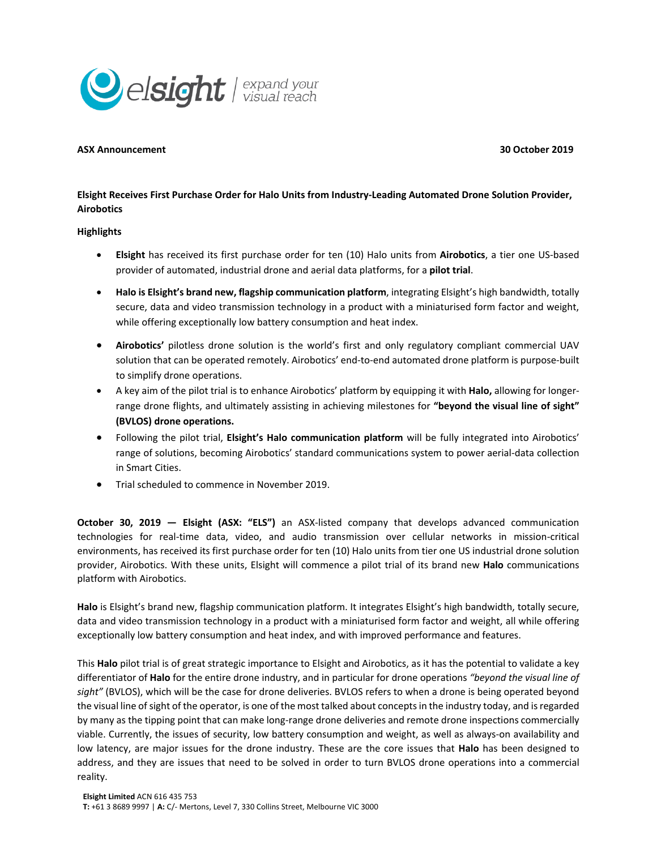

## **ASX Announcement 30 October 2019**

**Elsight Receives First Purchase Order for Halo Units from Industry-Leading Automated Drone Solution Provider, Airobotics**

## **Highlights**

- **Elsight** has received its first purchase order for ten (10) Halo units from **Airobotics**, a tier one US-based provider of automated, industrial drone and aerial data platforms, for a **pilot trial**.
- **Halo is Elsight's brand new, flagship communication platform**, integrating Elsight's high bandwidth, totally secure, data and video transmission technology in a product with a miniaturised form factor and weight, while offering exceptionally low battery consumption and heat index.
- **Airobotics'** pilotless drone solution is the world's first and only regulatory compliant commercial UAV solution that can be operated remotely. Airobotics' end-to-end automated drone platform is purpose-built to simplify drone operations.
- A key aim of the pilot trial is to enhance Airobotics' platform by equipping it with **Halo,** allowing for longerrange drone flights, and ultimately assisting in achieving milestones for **"beyond the visual line of sight" (BVLOS) drone operations.**
- Following the pilot trial, **Elsight's Halo communication platform** will be fully integrated into Airobotics' range of solutions, becoming Airobotics' standard communications system to power aerial-data collection in Smart Cities.
- Trial scheduled to commence in November 2019.

**October 30, 2019 — Elsight (ASX: "ELS")** an ASX-listed company that develops advanced communication technologies for real-time data, video, and audio transmission over cellular networks in mission-critical environments, has received its first purchase order for ten (10) Halo units from tier one US industrial drone solution provider, Airobotics. With these units, Elsight will commence a pilot trial of its brand new **Halo** communications platform with Airobotics.

**Halo** is Elsight's brand new, flagship communication platform. It integrates Elsight's high bandwidth, totally secure, data and video transmission technology in a product with a miniaturised form factor and weight, all while offering exceptionally low battery consumption and heat index, and with improved performance and features.

This **Halo** pilot trial is of great strategic importance to Elsight and Airobotics, as it has the potential to validate a key differentiator of **Halo** for the entire drone industry, and in particular for drone operations *"beyond the visual line of sight"* (BVLOS), which will be the case for drone deliveries. BVLOS refers to when a drone is being operated beyond the visual line of sight of the operator, is one of the most talked about concepts in the industry today, and is regarded by many as the tipping point that can make long-range drone deliveries and remote drone inspections commercially viable. Currently, the issues of security, low battery consumption and weight, as well as always-on availability and low latency, are major issues for the drone industry. These are the core issues that **Halo** has been designed to address, and they are issues that need to be solved in order to turn BVLOS drone operations into a commercial reality.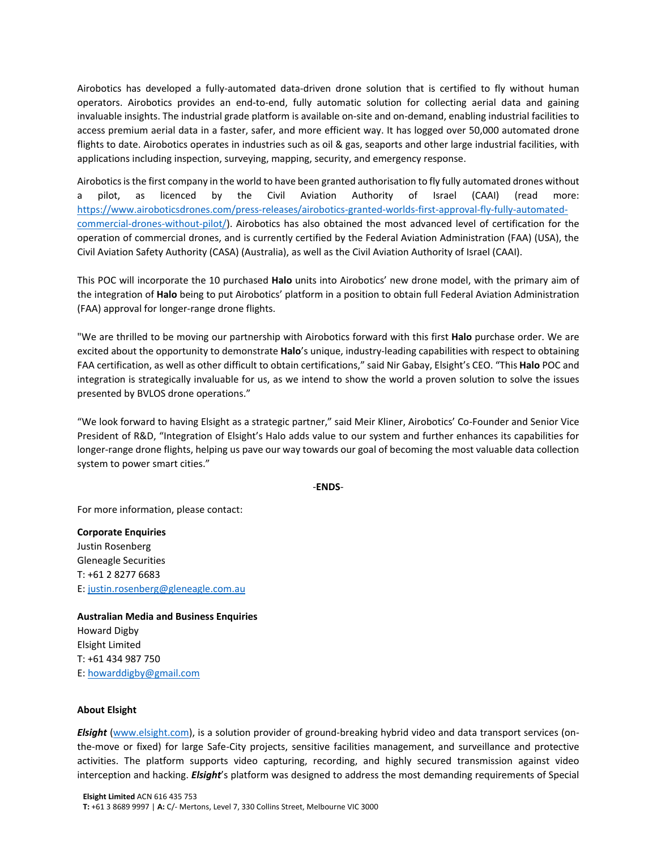Airobotics has developed a fully-automated data-driven drone solution that is certified to fly without human operators. Airobotics provides an end-to-end, fully automatic solution for collecting aerial data and gaining invaluable insights. The industrial grade platform is available on-site and on-demand, enabling industrial facilities to access premium aerial data in a faster, safer, and more efficient way. It has logged over 50,000 automated drone flights to date. Airobotics operates in industries such as [oil & gas,](http://www.airobotics.co.il/oil-and-gas/) seaports and other large [industrial facilities,](http://www.airobotics.co.il/industrial-facilities/) with applications including [inspection,](http://www.airobotics.co.il/inspection/) [surveying,](http://www.airobotics.co.il/surveying-and-mapping/) [mapping,](http://www.airobotics.co.il/surveying-and-mapping/) [security,](http://www.airobotics.co.il/security-and-emergency-response/) and [emergency response.](http://www.airobotics.co.il/security-and-emergency-response/)

Airobotics is the first company in the world to have been granted authorisation to fly fully automated drones without a pilot, as licenced by the Civil Aviation Authority of Israel (CAAI) (read more: [https://www.airoboticsdrones.com/press-releases/airobotics-granted-worlds-first-approval-fly-fully-automated](https://www.airoboticsdrones.com/press-releases/airobotics-granted-worlds-first-approval-fly-fully-automated-commercial-drones-without-pilot/)[commercial-drones-without-pilot/\)](https://www.airoboticsdrones.com/press-releases/airobotics-granted-worlds-first-approval-fly-fully-automated-commercial-drones-without-pilot/). Airobotics has also obtained the most advanced level of certification for the operation of commercial drones, and is currently certified by the Federal Aviation Administration (FAA) (USA), the Civil Aviation Safety Authority (CASA) (Australia), as well as the Civil Aviation Authority of Israel (CAAI).

This POC will incorporate the 10 purchased **Halo** units into Airobotics' new drone model, with the primary aim of the integration of **Halo** being to put Airobotics' platform in a position to obtain full Federal Aviation Administration (FAA) approval for longer-range drone flights.

"We are thrilled to be moving our partnership with Airobotics forward with this first **Halo** purchase order. We are excited about the opportunity to demonstrate **Halo**'s unique, industry-leading capabilities with respect to obtaining FAA certification, as well as other difficult to obtain certifications," said Nir Gabay, Elsight's CEO. "This **Halo** POC and integration is strategically invaluable for us, as we intend to show the world a proven solution to solve the issues presented by BVLOS drone operations."

"We look forward to having Elsight as a strategic partner," said Meir Kliner, Airobotics' Co-Founder and Senior Vice President of R&D, "Integration of Elsight's Halo adds value to our system and further enhances its capabilities for longer-range drone flights, helping us pave our way towards our goal of becoming the most valuable data collection system to power smart cities."

-**ENDS**-

For more information, please contact:

**Corporate Enquiries** Justin Rosenberg Gleneagle Securities T: +61 2 8277 6683 E: [justin.rosenberg@gleneagle.com.au](mailto:justin.rosenberg@gleneagle.com.au)

**Australian Media and Business Enquiries** Howard Digby Elsight Limited T: +61 434 987 750 E: [howarddigby@gmail.com](mailto:howarddigby@gmail.com)

## **About Elsight**

*Elsight* [\(www.elsight.com\)](http://www.elsight.com/), is a solution provider of ground-breaking hybrid video and data transport services (onthe-move or fixed) for large Safe-City projects, sensitive facilities management, and surveillance and protective activities. The platform supports video capturing, recording, and highly secured transmission against video interception and hacking. *Elsight*'s platform was designed to address the most demanding requirements of Special